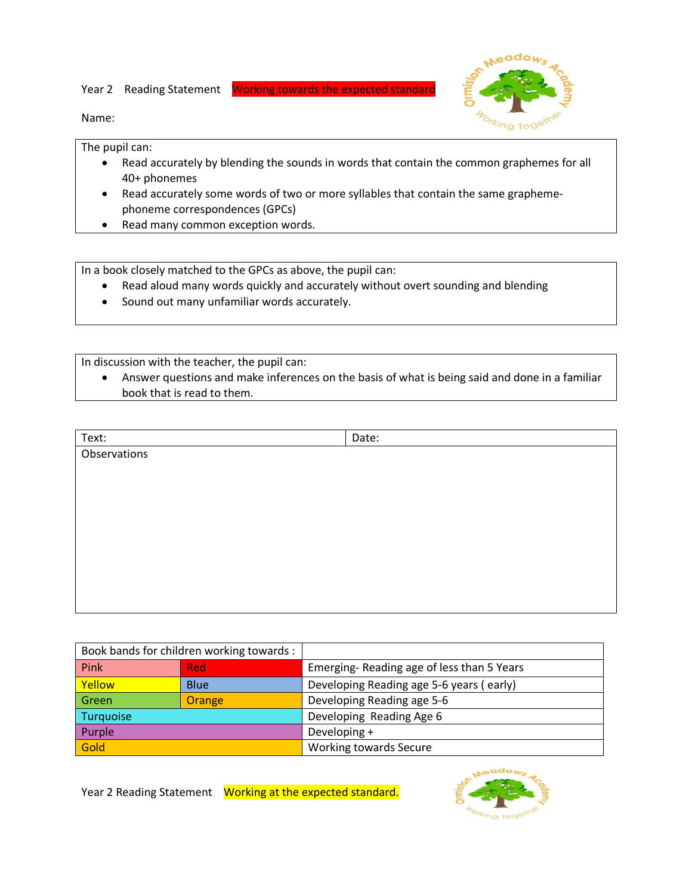Year 2 Reading Statement Working towards the expected standard



Name:

The pupil can:

- Read accurately by blending the sounds in words that contain the common graphemes for all 40+ phonemes
- Read accurately some words of two or more syllables that contain the same graphemephoneme correspondences (GPCs)
- Read many common exception words.

In a book closely matched to the GPCs as above, the pupil can:

- Read aloud many words quickly and accurately without overt sounding and blending
- Sound out many unfamiliar words accurately.

In discussion with the teacher, the pupil can:

 Answer questions and make inferences on the basis of what is being said and done in a familiar book that is read to them.

| Text:        | Date: |
|--------------|-------|
| Observations |       |
|              |       |
|              |       |
|              |       |
|              |       |
|              |       |
|              |       |
|              |       |
|              |       |
|              |       |

|           | Book bands for children working towards : |                                           |
|-----------|-------------------------------------------|-------------------------------------------|
| Pink      | <b>Red</b>                                | Emerging-Reading age of less than 5 Years |
| Yellow    | <b>Blue</b>                               | Developing Reading age 5-6 years (early)  |
| Green     | <b>Orange</b>                             | Developing Reading age 5-6                |
| Turquoise |                                           | Developing Reading Age 6                  |
| Purple    |                                           | Developing +                              |
| Gold      |                                           | <b>Working towards Secure</b>             |

Year 2 Reading Statement Working at the expected standard.

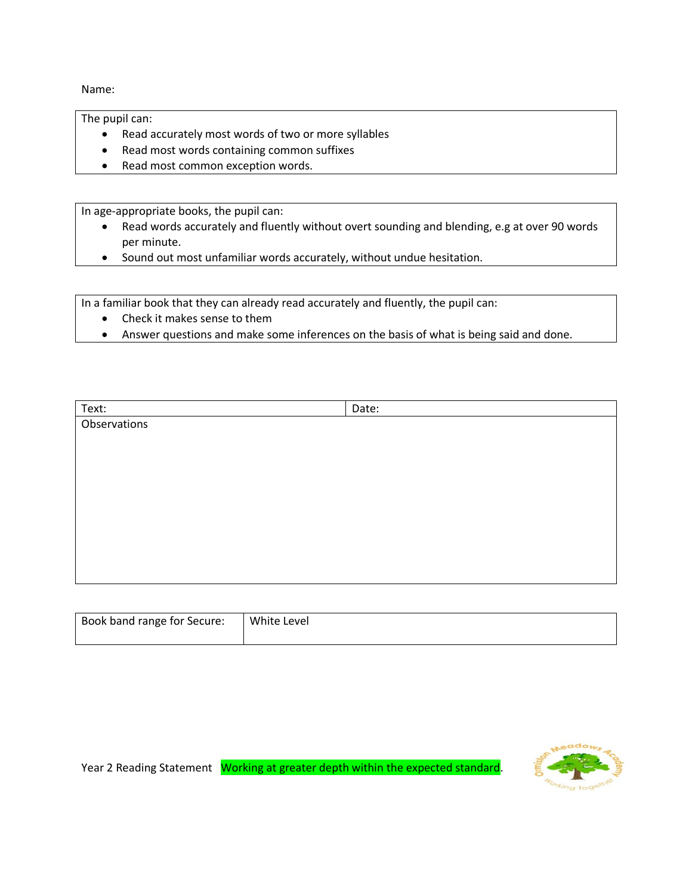Name:

The pupil can:

- Read accurately most words of two or more syllables
- Read most words containing common suffixes
- Read most common exception words.

In age-appropriate books, the pupil can:

- Read words accurately and fluently without overt sounding and blending, e.g at over 90 words per minute.
- Sound out most unfamiliar words accurately, without undue hesitation.

In a familiar book that they can already read accurately and fluently, the pupil can:

- Check it makes sense to them
- Answer questions and make some inferences on the basis of what is being said and done.

| Text:        | Date: |
|--------------|-------|
| Observations |       |
|              |       |
|              |       |
|              |       |
|              |       |
|              |       |
|              |       |
|              |       |
|              |       |
|              |       |
|              |       |

| Book band range for Secure: | White Level |
|-----------------------------|-------------|
|                             |             |

Year 2 Reading Statement Working at greater depth within the expected standard.